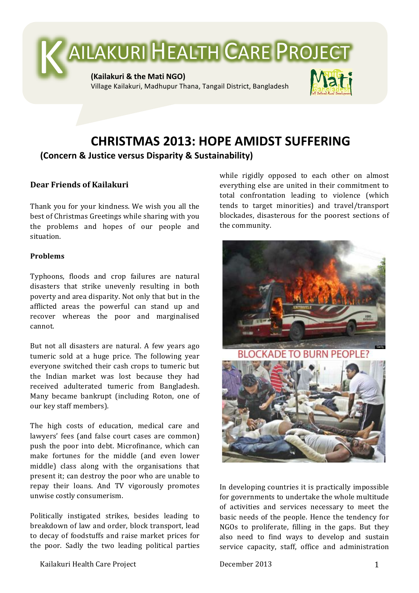

## **CHRISTMAS)2013:)HOPE)AMIDST)SUFFERING (Concern)&)Justice)versus)Disparity & Sustainability)**

## **Dear!Friends!of!Kailakuri**

Thank you for your kindness. We wish you all the best of Christmas Greetings while sharing with you the problems and hopes of our people and situation.(

## **Problems**

Typhoons, floods and crop failures are natural disasters that strike unevenly resulting in both poverty and area disparity. Not only that but in the afflicted areas the powerful can stand up and recover whereas the poor and marginalised cannot.

But not all disasters are natural. A few years ago tumeric sold at a huge price. The following year everyone switched their cash crops to tumeric but the Indian market was lost because they had received adulterated tumeric from Bangladesh. Many became bankrupt (including Roton, one of our key staff members).

The high costs of education, medical care and lawyers' fees (and false court cases are common) push the poor into debt. Microfinance, which can make fortunes for the middle (and even lower) middle) class along with the organisations that present it; can destroy the poor who are unable to repay their loans. And TV vigorously promotes unwise costly consumerism.

Politically instigated strikes, besides leading to breakdown of law and order, block transport, lead to decay of foodstuffs and raise market prices for the poor. Sadly the two leading political parties while rigidly opposed to each other on almost everything else are united in their commitment to total confrontation leading to violence (which tends to target minorities) and travel/transport blockades, disasterous for the poorest sections of the community.



In developing countries it is practically impossible for governments to undertake the whole multitude of activities and services necessary to meet the basic needs of the people. Hence the tendency for NGOs to proliferate, filling in the gaps. But they also need to find ways to develop and sustain service capacity, staff, office and administration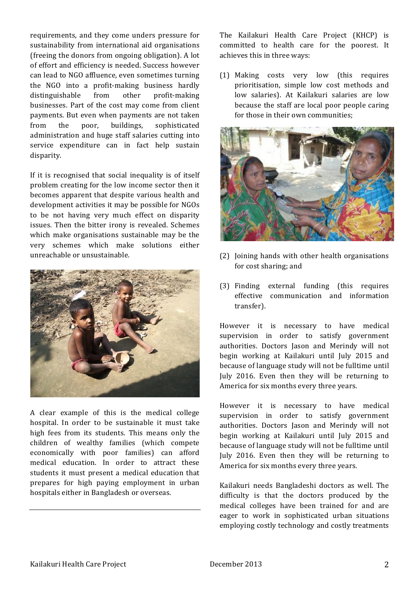requirements, and they come unders pressure for sustainability from international aid organisations (freeing the donors from ongoing obligation). A lot of effort and efficiency is needed. Success however can lead to NGO affluence, even sometimes turning the NGO into a profit-making business hardly distinguishable from other profit-making businesses. Part of the cost may come from client payments. But even when payments are not taken from the poor, buildings, sophisticated administration and huge staff salaries cutting into service expenditure can in fact help sustain disparity.

If it is recognised that social inequality is of itself problem creating for the low income sector then it becomes apparent that despite various health and development activities it may be possible for NGOs to be not having very much effect on disparity issues. Then the bitter irony is revealed. Schemes which make organisations sustainable may be the very schemes which make solutions either unreachable or unsustainable.



A clear example of this is the medical college hospital. In order to be sustainable it must take high fees from its students. This means only the children of wealthy families (which compete economically with poor families) can afford medical education. In order to attract these students it must present a medical education that prepares for high paying employment in urban hospitals either in Bangladesh or overseas.

The Kailakuri Health Care Project (KHCP) is committed to health care for the poorest. It achieves this in three ways:

(1) Making costs very low (this requires prioritisation, simple low cost methods and low salaries). At Kailakuri salaries are low because the staff are local poor people caring for those in their own communities:



- (2) Joining hands with other health organisations for cost sharing; and
- $(3)$  Finding external funding (this requires effective communication and information transfer).

However it is necessary to have medical supervision in order to satisfy government authorities. Doctors Jason and Merindy will not begin working at Kailakuri until July 2015 and because of language study will not be fulltime until July 2016. Even then they will be returning to America for six months every three years.

However it is necessary to have medical supervision in order to satisfy government authorities. Doctors Jason and Merindy will not begin working at Kailakuri until July 2015 and because of language study will not be fulltime until July 2016. Even then they will be returning to America for six months every three years.

Kailakuri needs Bangladeshi doctors as well. The difficulty is that the doctors produced by the medical colleges have been trained for and are eager to work in sophisticated urban situations employing costly technology and costly treatments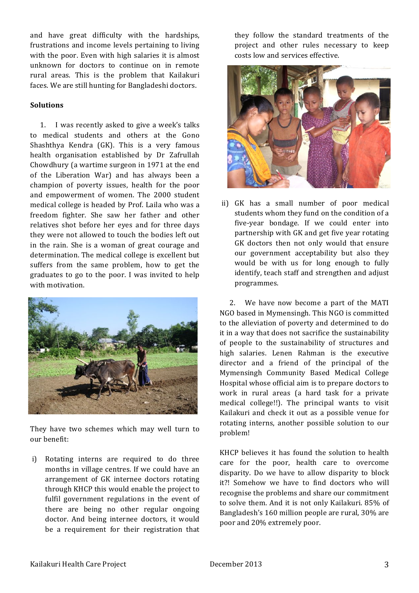and have great difficulty with the hardships, frustrations and income levels pertaining to living with the poor. Even with high salaries it is almost unknown for doctors to continue on in remote rural areas. This is the problem that Kailakuri faces. We are still hunting for Bangladeshi doctors.

## **Solutions**

1. I was recently asked to give a week's talks to medical students and others at the Gono Shashthya Kendra (GK). This is a very famous health organisation established by Dr Zafrullah Chowdhury (a wartime surgeon in  $1971$  at the end of the Liberation War) and has always been a champion of poverty issues, health for the poor and empowerment of women. The 2000 student medical college is headed by Prof. Laila who was a freedom fighter. She saw her father and other relatives shot before her eyes and for three days they were not allowed to touch the bodies left out in the rain. She is a woman of great courage and determination. The medical college is excellent but suffers from the same problem, how to get the graduates to go to the poor. I was invited to help with motivation.



They have two schemes which may well turn to our benefit:

i) Rotating interns are required to do three months in village centres. If we could have an arrangement of GK internee doctors rotating through KHCP this would enable the project to fulfil government regulations in the event of there are being no other regular ongoing doctor. And being internee doctors, it would be a requirement for their registration that they follow the standard treatments of the project and other rules necessary to keep costs low and services effective.



ii) GK has a small number of poor medical students whom they fund on the condition of a five-year bondage. If we could enter into partnership with GK and get five year rotating GK doctors then not only would that ensure our government acceptability but also they would be with us for long enough to fully identify, teach staff and strengthen and adjust programmes.

2. We have now become a part of the MATI NGO based in Mymensingh. This NGO is committed to the alleviation of poverty and determined to do it in a way that does not sacrifice the sustainability of people to the sustainability of structures and high salaries. Lenen Rahman is the executive director and a friend of the principal of the Mymensingh Community Based Medical College Hospital whose official aim is to prepare doctors to work in rural areas (a hard task for a private medical college!!). The principal wants to visit Kailakuri and check it out as a possible venue for rotating interns, another possible solution to our problem!

KHCP believes it has found the solution to health care for the poor, health care to overcome disparity. Do we have to allow disparity to block it?! Somehow we have to find doctors who will recognise the problems and share our commitment to solve them. And it is not only Kailakuri. 85% of Bangladesh's 160 million people are rural, 30% are poor and 20% extremely poor.